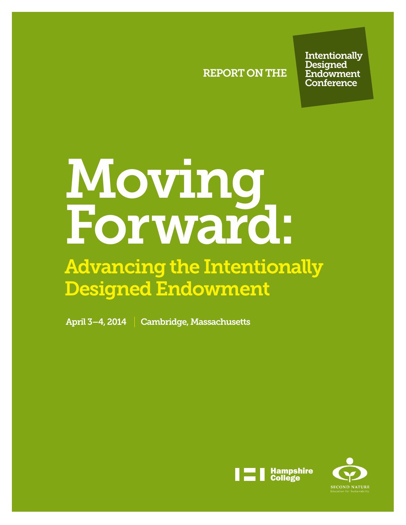REPORT ON THE

**Intentionally Designed Endowment Conference** 

# Moving Forward:

# Advancing the Intentionally Designed Endowment

April 3–4, 2014 Cambridge, Massachusetts



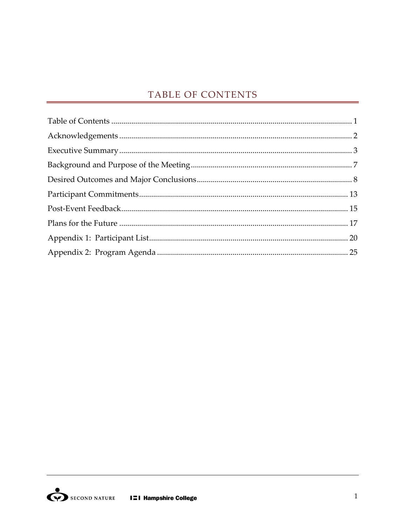# TABLE OF CONTENTS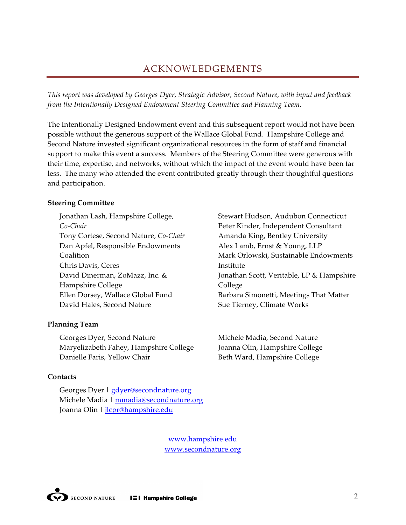# ACKNOWLEDGEMENTS

*This report was developed by Georges Dyer, Strategic Advisor, Second Nature, with input and feedback from%the%Intentionally%Designed%Endowment%Steering%Committee%and%Planning%Team.*

The Intentionally Designed Endowment event and this subsequent report would not have been possible without the generous support of the Wallace Global Fund. Hampshire College and Second Nature invested significant organizational resources in the form of staff and financial support to make this event a success. Members of the Steering Committee were generous with their time, expertise, and networks, without which the impact of the event would have been far less. The many who attended the event contributed greatly through their thoughtful questions and participation.

#### **Steering Committee**

Jonathan Lash, Hampshire College, *CoCChair%* Tony Cortese, Second Nature, *Co-Chair* Dan Apfel, Responsible Endowments Coalition" Chris Davis, Ceres David Dinerman, ZoMazz, Inc. & Hampshire College Ellen Dorsey, Wallace Global Fund David Hales, Second Nature

#### **Planning Team**

Georges Dyer, Second Nature Maryelizabeth Fahey, Hampshire College Danielle Faris, Yellow Chair

#### **Contacts**

Georges Dyer | gdyer@secondnature.org Michele Madia | mmadia@secondnature.org Joanna Olin | jlcpr@hampshire.edu

Stewart Hudson, Audubon Connecticut Peter Kinder, Independent Consultant Amanda King, Bentley University Alex Lamb, Ernst & Young, LLP Mark Orlowski, Sustainable Endowments **Institute** Jonathan Scott, Veritable, LP & Hampshire College" Barbara Simonetti, Meetings That Matter Sue Tierney, Climate Works

Michele Madia, Second Nature Joanna Olin, Hampshire College Beth Ward, Hampshire College

www.hampshire.edu www.secondnature.org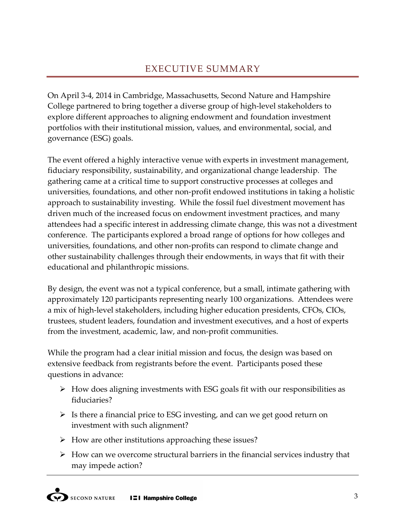# EXECUTIVE SUMMARY

On April 3-4, 2014 in Cambridge, Massachusetts, Second Nature and Hampshire College partnered to bring together a diverse group of high-level stakeholders to explore different approaches to aligning endowment and foundation investment portfolios with their institutional mission, values, and environmental, social, and governance (ESG) goals.

The event offered a highly interactive venue with experts in investment management, fiduciary responsibility, sustainability, and organizational change leadership. The gathering came at a critical time to support constructive processes at colleges and universities, foundations, and other non-profit endowed institutions in taking a holistic approach to sustainability investing. While the fossil fuel divestment movement has driven much of the increased focus on endowment investment practices, and many attendees had a specific interest in addressing climate change, this was not a divestment conference. The participants explored a broad range of options for how colleges and universities, foundations, and other non-profits can respond to climate change and other sustainability challenges through their endowments, in ways that fit with their educational and philanthropic missions.

By design, the event was not a typical conference, but a small, intimate gathering with approximately 120 participants representing nearly 100 organizations. Attendees were a mix of high-level stakeholders, including higher education presidents, CFOs, CIOs, trustees, student leaders, foundation and investment executives, and a host of experts from the investment, academic, law, and non-profit communities.

While the program had a clear initial mission and focus, the design was based on extensive feedback from registrants before the event. Participants posed these questions in advance:

- $\geq$  How does aligning investments with ESG goals fit with our responsibilities as fiduciaries?
- $\geq$  Is there a financial price to ESG investing, and can we get good return on investment with such alignment?
- $\triangleright$  How are other institutions approaching these issues?
- $\triangleright$  How can we overcome structural barriers in the financial services industry that may impede action?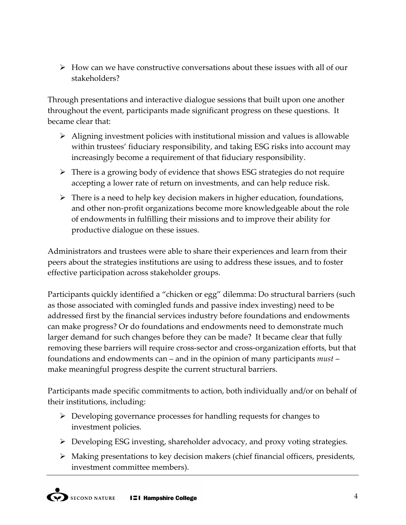$\geq$  How can we have constructive conversations about these issues with all of our stakeholders?

Through presentations and interactive dialogue sessions that built upon one another throughout the event, participants made significant progress on these questions. It became clear that:

- $\triangleright$  Aligning investment policies with institutional mission and values is allowable within trustees' fiduciary responsibility, and taking ESG risks into account may increasingly become a requirement of that fiduciary responsibility.
- $\triangleright$  There is a growing body of evidence that shows ESG strategies do not require accepting a lower rate of return on investments, and can help reduce risk.
- $\triangleright$  There is a need to help key decision makers in higher education, foundations, and other non-profit organizations become more knowledgeable about the role of endowments in fulfilling their missions and to improve their ability for productive dialogue on these issues.

Administrators and trustees were able to share their experiences and learn from their peers about the strategies institutions are using to address these issues, and to foster effective participation across stakeholder groups.

Participants quickly identified a "chicken or egg" dilemma: Do structural barriers (such as those associated with comingled funds and passive index investing) need to be addressed first by the financial services industry before foundations and endowments can make progress? Or do foundations and endowments need to demonstrate much larger demand for such changes before they can be made? It became clear that fully removing these barriers will require cross-sector and cross-organization efforts, but that foundations and endowments can – and in the opinion of many participants *must* – make meaningful progress despite the current structural barriers.

Participants made specific commitments to action, both individually and/or on behalf of their institutions, including:

- $\triangleright$  Developing governance processes for handling requests for changes to investment policies.
- $\triangleright$  Developing ESG investing, shareholder advocacy, and proxy voting strategies.
- $\triangleright$  Making presentations to key decision makers (chief financial officers, presidents, investment committee members).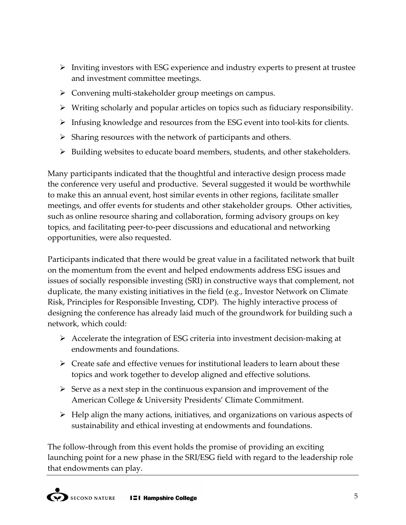- $\triangleright$  Inviting investors with ESG experience and industry experts to present at trustee and investment committee meetings.
- $\triangleright$  Convening multi-stakeholder group meetings on campus.
- $\triangleright$  Writing scholarly and popular articles on topics such as fiduciary responsibility.
- $\triangleright$  Infusing knowledge and resources from the ESG event into tool-kits for clients.
- $\triangleright$  Sharing resources with the network of participants and others.
- $\triangleright$  Building websites to educate board members, students, and other stakeholders.

Many participants indicated that the thoughtful and interactive design process made the conference very useful and productive. Several suggested it would be worthwhile to make this an annual event, host similar events in other regions, facilitate smaller meetings, and offer events for students and other stakeholder groups. Other activities, such as online resource sharing and collaboration, forming advisory groups on key topics, and facilitating peer-to-peer discussions and educational and networking opportunities, were also requested.

Participants indicated that there would be great value in a facilitated network that built on the momentum from the event and helped endowments address ESG issues and issues of socially responsible investing (SRI) in constructive ways that complement, not duplicate, the many existing initiatives in the field (e.g., Investor Network on Climate Risk, Principles for Responsible Investing, CDP). The highly interactive process of designing the conference has already laid much of the groundwork for building such a network, which could:

- $\triangleright$  Accelerate the integration of ESG criteria into investment decision-making at endowments and foundations.
- $\triangleright$  Create safe and effective venues for institutional leaders to learn about these topics and work together to develop aligned and effective solutions.
- $\triangleright$  Serve as a next step in the continuous expansion and improvement of the American College & University Presidents' Climate Commitment.
- $\triangleright$  Help align the many actions, initiatives, and organizations on various aspects of sustainability and ethical investing at endowments and foundations.

The follow-through from this event holds the promise of providing an exciting launching point for a new phase in the SRI/ESG field with regard to the leadership role that endowments can play.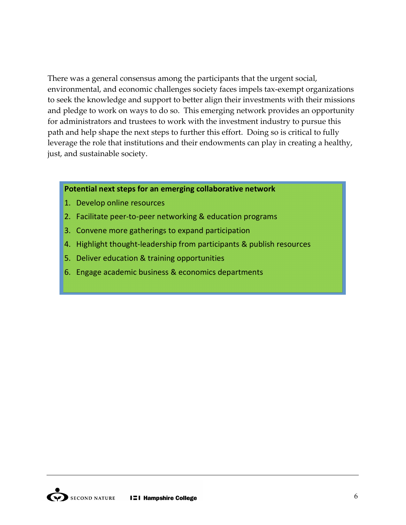There was a general consensus among the participants that the urgent social, environmental, and economic challenges society faces impels tax-exempt organizations to seek the knowledge and support to better align their investments with their missions and pledge to work on ways to do so. This emerging network provides an opportunity for administrators and trustees to work with the investment industry to pursue this path and help shape the next steps to further this effort. Doing so is critical to fully leverage the role that institutions and their endowments can play in creating a healthy, just, and sustainable society.

#### **Potential next steps for an emerging collaborative network**

- 1. Develop online resources
- 2. Facilitate peer-to-peer networking & education programs
- 3. Convene more gatherings to expand participation
- 4. Highlight thought-leadership from participants  $\&$  publish resources
- 5. Deliver education & training opportunities
- 6. Engage academic business & economics departments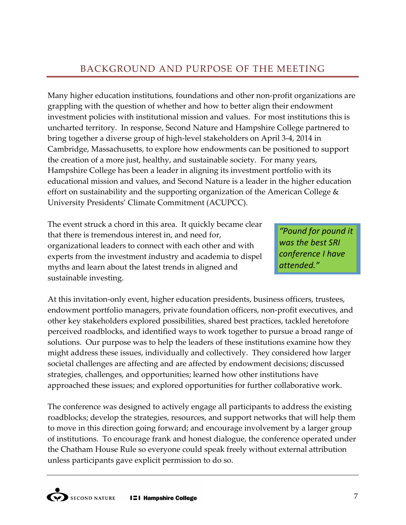# BACKGROUND AND PURPOSE OF THE MEETING

Many higher education institutions, foundations and other non-profit organizations are grappling with the question of whether and how to better align their endowment investment policies with institutional mission and values. For most institutions this is uncharted territory. In response, Second Nature and Hampshire College partnered to bring together a diverse group of high-level stakeholders on April 3-4, 2014 in Cambridge, Massachusetts, to explore how endowments can be positioned to support the creation of a more just, healthy, and sustainable society. For many years, Hampshire College has been a leader in aligning its investment portfolio with its educational mission and values, and Second Nature is a leader in the higher education effort on sustainability and the supporting organization of the American College  $&$ University Presidents' Climate Commitment (ACUPCC).

The event struck a chord in this area. It quickly became clear that there is tremendous interest in, and need for, organizational leaders to connect with each other and with experts from the investment industry and academia to dispel myths and learn about the latest trends in aligned and sustainable investing.

*"Pound'for'pound'it' was'the'best'SRI' conference'I'have' attended."*

At this invitation-only event, higher education presidents, business officers, trustees, endowment portfolio managers, private foundation officers, non-profit executives, and other key stakeholders explored possibilities, shared best practices, tackled heretofore perceived roadblocks, and identified ways to work together to pursue a broad range of solutions. Our purpose was to help the leaders of these institutions examine how they might address these issues, individually and collectively. They considered how larger societal challenges are affecting and are affected by endowment decisions; discussed strategies, challenges, and opportunities; learned how other institutions have approached these issues; and explored opportunities for further collaborative work.

The conference was designed to actively engage all participants to address the existing roadblocks; develop the strategies, resources, and support networks that will help them to move in this direction going forward; and encourage involvement by a larger group of institutions. To encourage frank and honest dialogue, the conference operated under the Chatham House Rule so everyone could speak freely without external attribution unless participants gave explicit permission to do so.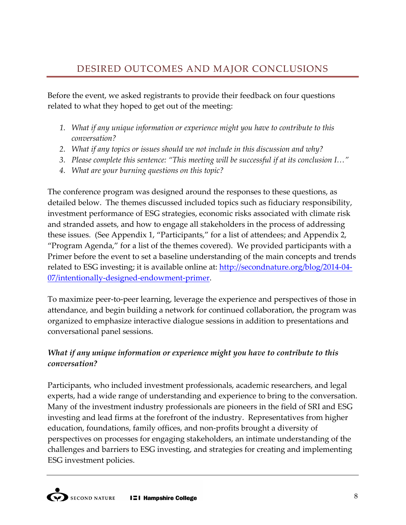Before the event, we asked registrants to provide their feedback on four questions related to what they hoped to get out of the meeting:

- 1. What if any unique information or experience might you have to contribute to this *conversation?*
- 2. *What if any topics or issues should we not include in this discussion and why?*
- *3. Please%complete%this%sentence:%"This%meeting%will%be%successful%if%at%its%conclusion%I…"*
- *4. What%are%your%burning%questions%on%this%topic?*

The conference program was designed around the responses to these questions, as detailed below. The themes discussed included topics such as fiduciary responsibility, investment performance of ESG strategies, economic risks associated with climate risk and stranded assets, and how to engage all stakeholders in the process of addressing these issues. (See Appendix 1, "Participants," for a list of attendees; and Appendix 2, "Program Agenda," for a list of the themes covered). We provided participants with a Primer before the event to set a baseline understanding of the main concepts and trends related to ESG investing; it is available online at: http://secondnature.org/blog/2014-04-07/intentionally-designed-endowment-primer.

To maximize peer-to-peer learning, leverage the experience and perspectives of those in attendance, and begin building a network for continued collaboration, the program was organized to emphasize interactive dialogue sessions in addition to presentations and conversational panel sessions.

# *What if any unique information or experience might you have to contribute to this conversation?*

Participants, who included investment professionals, academic researchers, and legal experts, had a wide range of understanding and experience to bring to the conversation. Many of the investment industry professionals are pioneers in the field of SRI and ESG investing and lead firms at the forefront of the industry. Representatives from higher education, foundations, family offices, and non-profits brought a diversity of perspectives on processes for engaging stakeholders, an intimate understanding of the challenges and barriers to ESG investing, and strategies for creating and implementing ESG investment policies.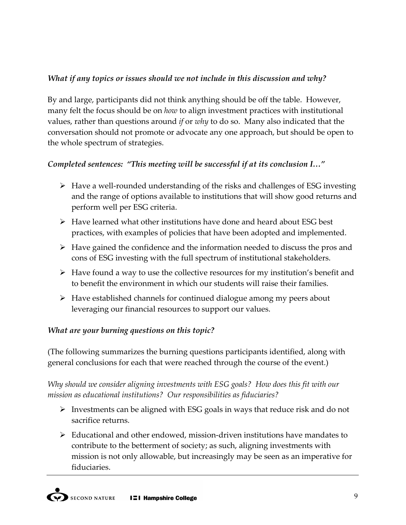# *What if any topics or issues should we not include in this discussion and why?*

By and large, participants did not think anything should be off the table. However, many felt the focus should be on *how* to align investment practices with institutional values, rather than questions around *if* or *why* to do so. Many also indicated that the conversation should not promote or advocate any one approach, but should be open to the whole spectrum of strategies.

# *Completed sentences: "This meeting will be successful if at its conclusion I..."*

- $\triangleright$  Have a well-rounded understanding of the risks and challenges of ESG investing and the range of options available to institutions that will show good returns and perform well per ESG criteria.
- $\triangleright$  Have learned what other institutions have done and heard about ESG best practices, with examples of policies that have been adopted and implemented.
- $\triangleright$  Have gained the confidence and the information needed to discuss the pros and cons of ESG investing with the full spectrum of institutional stakeholders.
- $\triangleright$  Have found a way to use the collective resources for my institution's benefit and to benefit the environment in which our students will raise their families.
- $\triangleright$  Have established channels for continued dialogue among my peers about leveraging our financial resources to support our values.

# *What are your burning questions on this topic?*

(The following summarizes the burning questions participants identified, along with general conclusions for each that were reached through the course of the event.)

*Why%should%we%consider%aligning%investments%with%ESG%goals?% How%does%this%fit%with%our%* mission as educational institutions? Our responsibilities as fiduciaries?

- $\triangleright$  Investments can be aligned with ESG goals in ways that reduce risk and do not sacrifice returns.
- $\triangleright$  Educational and other endowed, mission-driven institutions have mandates to contribute to the betterment of society; as such, aligning investments with mission is not only allowable, but increasingly may be seen as an imperative for fiduciaries.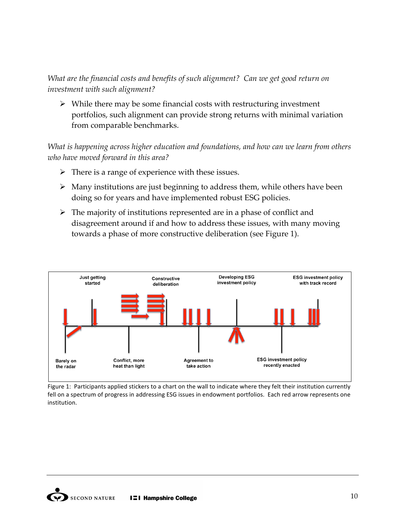*What are the financial costs and benefits of such alignment? Can we get good return on investment%with%such%alignment?*

 $\triangleright$  While there may be some financial costs with restructuring investment portfolios, such alignment can provide strong returns with minimal variation from comparable benchmarks.

*What is happening across higher education and foundations, and how can we learn from others* who have moved forward in this area?

- $\triangleright$  There is a range of experience with these issues.
- $\triangleright$  Many institutions are just beginning to address them, while others have been doing so for years and have implemented robust ESG policies.
- $\triangleright$  The majority of institutions represented are in a phase of conflict and disagreement around if and how to address these issues, with many moving towards a phase of more constructive deliberation (see Figure 1).



Figure 1: Participants applied stickers to a chart on the wall to indicate where they felt their institution currently fell on a spectrum of progress in addressing ESG issues in endowment portfolios. Each red arrow represents one institution.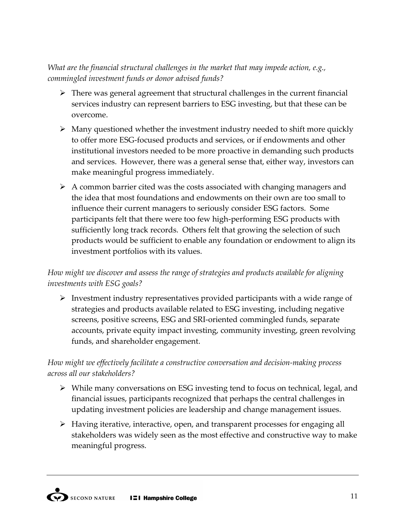*What are the financial structural challenges in the market that may impede action, e.g., commingled%investment%funds%or%donor%advised%funds?*

- $\triangleright$  There was general agreement that structural challenges in the current financial services industry can represent barriers to ESG investing, but that these can be overcome.
- $\triangleright$  Many questioned whether the investment industry needed to shift more quickly to offer more ESG-focused products and services, or if endowments and other institutional investors needed to be more proactive in demanding such products and services. However, there was a general sense that, either way, investors can make meaningful progress immediately.
- $\triangleright$  A common barrier cited was the costs associated with changing managers and the idea that most foundations and endowments on their own are too small to influence their current managers to seriously consider ESG factors. Some participants felt that there were too few high-performing ESG products with sufficiently long track records. Others felt that growing the selection of such products would be sufficient to enable any foundation or endowment to align its investment portfolios with its values.

# How might we discover and assess the range of strategies and products available for aligning *investments with ESG goals?*

 $\triangleright$  Investment industry representatives provided participants with a wide range of strategies and products available related to ESG investing, including negative screens, positive screens, ESG and SRI-oriented commingled funds, separate accounts, private equity impact investing, community investing, green revolving funds, and shareholder engagement.

# How might we effectively facilitate a constructive conversation and decision-making process *across%all%our%stakeholders?*

- $\triangleright$  While many conversations on ESG investing tend to focus on technical, legal, and financial issues, participants recognized that perhaps the central challenges in updating investment policies are leadership and change management issues.
- $\triangleright$  Having iterative, interactive, open, and transparent processes for engaging all stakeholders was widely seen as the most effective and constructive way to make meaningful progress.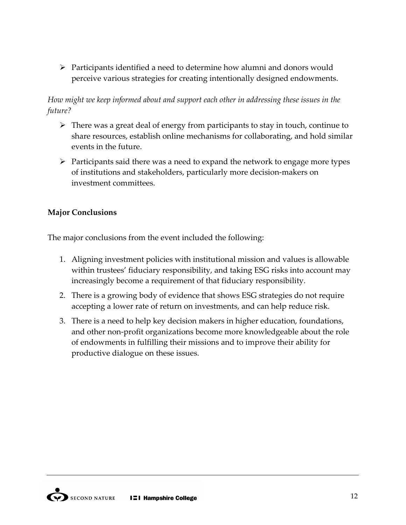$\triangleright$  Participants identified a need to determine how alumni and donors would perceive various strategies for creating intentionally designed endowments.

# *How might we keep informed about and support each other in addressing these issues in the future?*

- $\triangleright$  There was a great deal of energy from participants to stay in touch, continue to share resources, establish online mechanisms for collaborating, and hold similar events in the future.
- $\triangleright$  Participants said there was a need to expand the network to engage more types of institutions and stakeholders, particularly more decision-makers on investment committees.

# **Major Conclusions**

The major conclusions from the event included the following:

- 1. Aligning investment policies with institutional mission and values is allowable within trustees' fiduciary responsibility, and taking ESG risks into account may increasingly become a requirement of that fiduciary responsibility.
- 2. There is a growing body of evidence that shows ESG strategies do not require accepting a lower rate of return on investments, and can help reduce risk.
- 3. There is a need to help key decision makers in higher education, foundations, and other non-profit organizations become more knowledgeable about the role of endowments in fulfilling their missions and to improve their ability for productive dialogue on these issues.

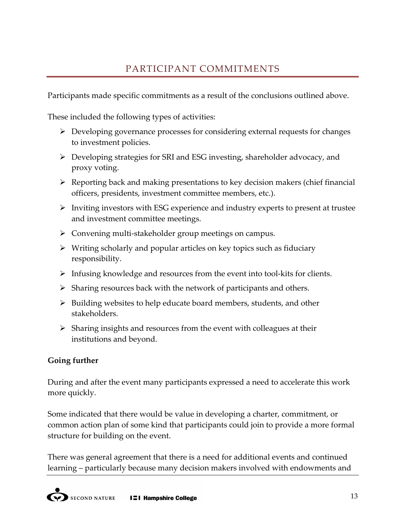Participants made specific commitments as a result of the conclusions outlined above.

These included the following types of activities:

- $\triangleright$  Developing governance processes for considering external requests for changes to investment policies.
- $\triangleright$  Developing strategies for SRI and ESG investing, shareholder advocacy, and proxy voting.
- $\triangleright$  Reporting back and making presentations to key decision makers (chief financial officers, presidents, investment committee members, etc.).
- $\triangleright$  Inviting investors with ESG experience and industry experts to present at trustee and investment committee meetings.
- $\triangleright$  Convening multi-stakeholder group meetings on campus.
- $\triangleright$  Writing scholarly and popular articles on key topics such as fiduciary responsibility.
- $\triangleright$  Infusing knowledge and resources from the event into tool-kits for clients.
- $\triangleright$  Sharing resources back with the network of participants and others.
- $\triangleright$  Building websites to help educate board members, students, and other stakeholders.
- $\triangleright$  Sharing insights and resources from the event with colleagues at their institutions and beyond.

# **Going further**

During and after the event many participants expressed a need to accelerate this work more quickly.

Some indicated that there would be value in developing a charter, commitment, or common action plan of some kind that participants could join to provide a more formal structure for building on the event.

There was general agreement that there is a need for additional events and continued learning – particularly because many decision makers involved with endowments and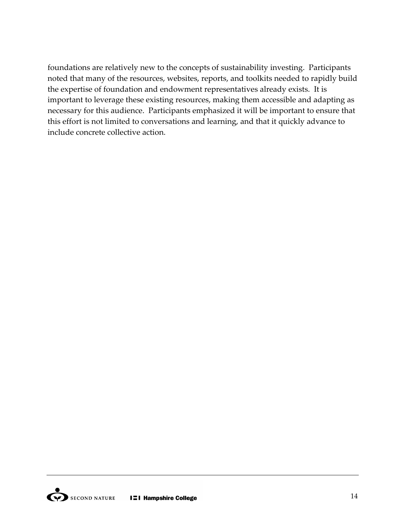foundations are relatively new to the concepts of sustainability investing. Participants noted that many of the resources, websites, reports, and toolkits needed to rapidly build the expertise of foundation and endowment representatives already exists. It is important to leverage these existing resources, making them accessible and adapting as necessary for this audience. Participants emphasized it will be important to ensure that this effort is not limited to conversations and learning, and that it quickly advance to include concrete collective action.

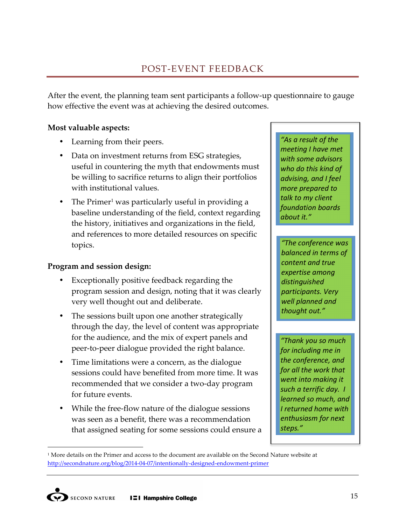After the event, the planning team sent participants a follow-up questionnaire to gauge how effective the event was at achieving the desired outcomes.

# **Most valuable aspects:**

- Learning from their peers.
- Data on investment returns from ESG strategies, useful in countering the myth that endowments must be willing to sacrifice returns to align their portfolios with institutional values.
- The Primer<sup>1</sup> was particularly useful in providing a baseline understanding of the field, context regarding the history, initiatives and organizations in the field, and references to more detailed resources on specific topics.

#### **Program and session design:**

- Exceptionally positive feedback regarding the program session and design, noting that it was clearly very well thought out and deliberate.
- The sessions built upon one another strategically through the day, the level of content was appropriate for the audience, and the mix of expert panels and peer-to-peer dialogue provided the right balance.
- Time limitations were a concern, as the dialogue sessions could have benefited from more time. It was recommended that we consider a two-day program for future events.
- While the free-flow nature of the dialogue sessions was seen as a benefit, there was a recommendation that assigned seating for some sessions could ensure a

*"As'a'result'of'the' meeting'I'have'met' with'some'advisors' who'do'this'kind'of' advising,'and'I'feel' more'prepared'to' talk'to'my'client' foundation'boards' about'it."*

*"The'conference'was' balanced'in'terms'of' content'and'true' expertise'among' distinguished' participants.'Very' well'planned'and' thought'out."*

*"Thank'you'so'much' for'including'me'in' the'conference,'and' for'all'the'work'that' went'into'making'it' such'a'terrific'day. I' learned'so'much,'and' I'returned'home'with' enthusiasm'for'next' steps."*

 $\overline{a}$ 

 $1$  More details on the Primer and access to the document are available on the Second Nature website at http://secondnature.org/blog/2014-04-07/intentionally-designed-endowment-primer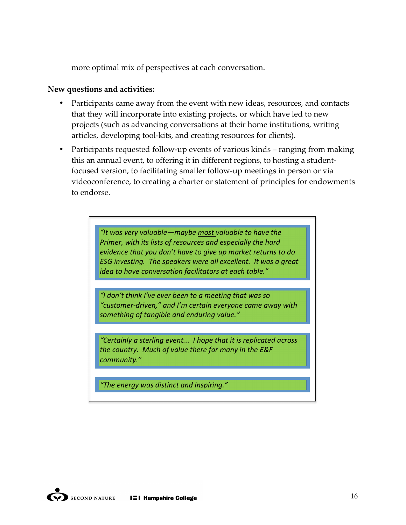more optimal mix of perspectives at each conversation.

#### New questions and activities:

- Participants came away from the event with new ideas, resources, and contacts that they will incorporate into existing projects, or which have led to new projects (such as advancing conversations at their home institutions, writing articles, developing tool-kits, and creating resources for clients).
- Participants requested follow-up events of various kinds ranging from making this an annual event, to offering it in different regions, to hosting a studentfocused version, to facilitating smaller follow-up meetings in person or via videoconference, to creating a charter or statement of principles for endowments to endorse.

*"It'was'very'valuable—maybe'most'valuable'to'have'the' Primer, with its lists of resources and especially the hard evidence'that'you'don't'have'to'give'up'market'returns'to'do' ESG'investing.' The'speakers'were'all'excellent. It'was'a'great' idea'to'have'conversation'facilitators'at'each'table."*

*"I'don't'think'I've'ever'been'to'a'meeting'that'was'so'* "customer-driven," and I'm certain everyone came away with *something'of'tangible'and'enduring'value."*

*"Certainly'a'sterling'event...' I'hope'that'it'is'replicated'across' the'country.' Much'of'value'there'for'many'in'the'E&F' community."*

*"The'energy'was'distinct'and'inspiring."*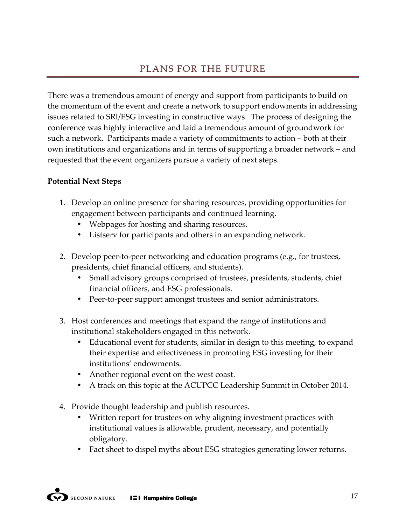# PLANS FOR THE FUTURE

There was a tremendous amount of energy and support from participants to build on the momentum of the event and create a network to support endowments in addressing issues related to SRI/ESG investing in constructive ways. The process of designing the conference was highly interactive and laid a tremendous amount of groundwork for such a network. Participants made a variety of commitments to action – both at their own institutions and organizations and in terms of supporting a broader network – and requested that the event organizers pursue a variety of next steps.

## **Potential Next Steps**

- 1. Develop an online presence for sharing resources, providing opportunities for engagement between participants and continued learning.
	- Webpages for hosting and sharing resources.
	- Listserv for participants and others in an expanding network.
- 2. Develop peer-to-peer networking and education programs (e.g., for trustees, presidents, chief financial officers, and students).
	- Small advisory groups comprised of trustees, presidents, students, chief financial officers, and ESG professionals.
	- Peer-to-peer support amongst trustees and senior administrators.
- 3. Host conferences and meetings that expand the range of institutions and institutional stakeholders engaged in this network.
	- Educational event for students, similar in design to this meeting, to expand their expertise and effectiveness in promoting ESG investing for their institutions' endowments.
	- Another regional event on the west coast.
	- A track on this topic at the ACUPCC Leadership Summit in October 2014.
- 4. Provide thought leadership and publish resources.
	- Written report for trustees on why aligning investment practices with institutional values is allowable, prudent, necessary, and potentially obligatory.
	- Fact sheet to dispel myths about ESG strategies generating lower returns.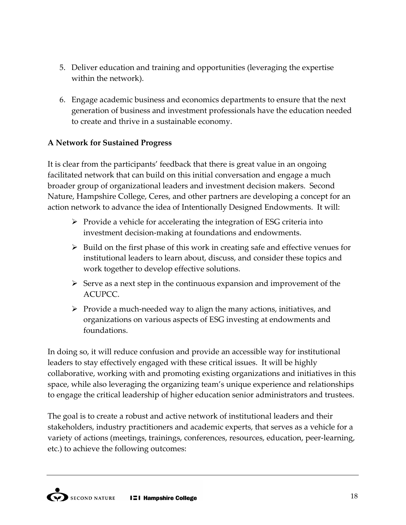- 5. Deliver education and training and opportunities (leveraging the expertise within the network).
- 6. Engage academic business and economics departments to ensure that the next generation of business and investment professionals have the education needed to create and thrive in a sustainable economy.

# **A Network for Sustained Progress**

It is clear from the participants' feedback that there is great value in an ongoing facilitated network that can build on this initial conversation and engage a much broader group of organizational leaders and investment decision makers. Second Nature, Hampshire College, Ceres, and other partners are developing a concept for an action network to advance the idea of Intentionally Designed Endowments. It will:

- $\triangleright$  Provide a vehicle for accelerating the integration of ESG criteria into investment decision-making at foundations and endowments.
- $\triangleright$  Build on the first phase of this work in creating safe and effective venues for institutional leaders to learn about, discuss, and consider these topics and work together to develop effective solutions.
- $\triangleright$  Serve as a next step in the continuous expansion and improvement of the ACUPCC.
- $\triangleright$  Provide a much-needed way to align the many actions, initiatives, and organizations on various aspects of ESG investing at endowments and foundations.

In doing so, it will reduce confusion and provide an accessible way for institutional leaders to stay effectively engaged with these critical issues. It will be highly collaborative, working with and promoting existing organizations and initiatives in this space, while also leveraging the organizing team's unique experience and relationships to engage the critical leadership of higher education senior administrators and trustees.

The goal is to create a robust and active network of institutional leaders and their stakeholders, industry practitioners and academic experts, that serves as a vehicle for a variety of actions (meetings, trainings, conferences, resources, education, peer-learning, etc.) to achieve the following outcomes: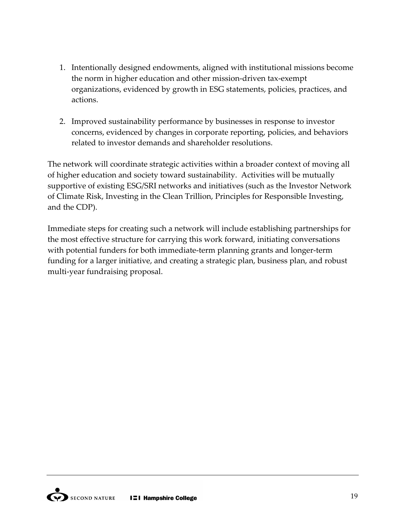- 1. Intentionally designed endowments, aligned with institutional missions become the norm in higher education and other mission-driven tax-exempt organizations, evidenced by growth in ESG statements, policies, practices, and actions.
- 2. Improved sustainability performance by businesses in response to investor concerns, evidenced by changes in corporate reporting, policies, and behaviors related to investor demands and shareholder resolutions.

The network will coordinate strategic activities within a broader context of moving all of higher education and society toward sustainability. Activities will be mutually supportive of existing ESG/SRI networks and initiatives (such as the Investor Network" of Climate Risk, Investing in the Clean Trillion, Principles for Responsible Investing, and the CDP).

Immediate steps for creating such a network will include establishing partnerships for the most effective structure for carrying this work forward, initiating conversations with potential funders for both immediate-term planning grants and longer-term funding for a larger initiative, and creating a strategic plan, business plan, and robust multi-year fundraising proposal.

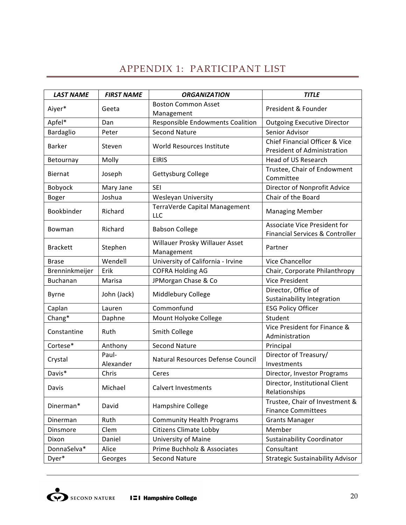# APPENDIX 1: PARTICIPANT LIST

| <b>LAST NAME</b> | <b>FIRST NAME</b>  | <b>ORGANIZATION</b>                          | <b>TITLE</b>                                                    |
|------------------|--------------------|----------------------------------------------|-----------------------------------------------------------------|
| Aiyer*           | Geeta              | <b>Boston Common Asset</b><br>Management     | President & Founder                                             |
| Apfel*           | Dan                | Responsible Endowments Coalition             | <b>Outgoing Executive Director</b>                              |
| Bardaglio        | Peter              | <b>Second Nature</b>                         | Senior Advisor                                                  |
| <b>Barker</b>    | Steven             | World Resources Institute                    | Chief Financial Officer & Vice<br>President of Administration   |
| Betournay        | Molly              | <b>EIRIS</b>                                 | Head of US Research                                             |
| Biernat          | Joseph             | Gettysburg College                           | Trustee, Chair of Endowment<br>Committee                        |
| Bobyock          | Mary Jane          | <b>SEI</b>                                   | Director of Nonprofit Advice                                    |
| Boger            | Joshua             | Wesleyan University                          | Chair of the Board                                              |
| Bookbinder       | Richard            | TerraVerde Capital Management<br>LLC         | <b>Managing Member</b>                                          |
| Bowman           | Richard            | <b>Babson College</b>                        | Associate Vice President for<br>Financial Services & Controller |
| <b>Brackett</b>  | Stephen            | Willauer Prosky Willauer Asset<br>Management | Partner                                                         |
| <b>Brase</b>     | Wendell            | University of California - Irvine            | Vice Chancellor                                                 |
| Brenninkmeijer   | Erik               | <b>COFRA Holding AG</b>                      | Chair, Corporate Philanthropy                                   |
| Buchanan         | Marisa             | JPMorgan Chase & Co                          | <b>Vice President</b>                                           |
| <b>Byrne</b>     | John (Jack)        | Middlebury College                           | Director, Office of<br>Sustainability Integration               |
| Caplan           | Lauren             | Commonfund                                   | <b>ESG Policy Officer</b>                                       |
| Chang*           | Daphne             | Mount Holyoke College                        | Student                                                         |
| Constantine      | Ruth               | Smith College                                | Vice President for Finance &<br>Administration                  |
| Cortese*         | Anthony            | <b>Second Nature</b>                         | Principal                                                       |
| Crystal          | Paul-<br>Alexander | Natural Resources Defense Council            | Director of Treasury/<br>Investments                            |
| Davis*           | Chris              | Ceres                                        | Director, Investor Programs                                     |
| Davis            | Michael            | Calvert Investments                          | Director, Institutional Client<br>Relationships                 |
| Dinerman*        | David              | Hampshire College                            | Trustee, Chair of Investment &<br><b>Finance Committees</b>     |
| Dinerman         | Ruth               | <b>Community Health Programs</b>             | <b>Grants Manager</b>                                           |
| Dinsmore         | Clem               | <b>Citizens Climate Lobby</b>                | Member                                                          |
| Dixon            | Daniel             | <b>University of Maine</b>                   | <b>Sustainability Coordinator</b>                               |
| DonnaSelva*      | Alice              | Prime Buchholz & Associates                  | Consultant                                                      |
| Dyer*            | Georges            | <b>Second Nature</b>                         | <b>Strategic Sustainability Advisor</b>                         |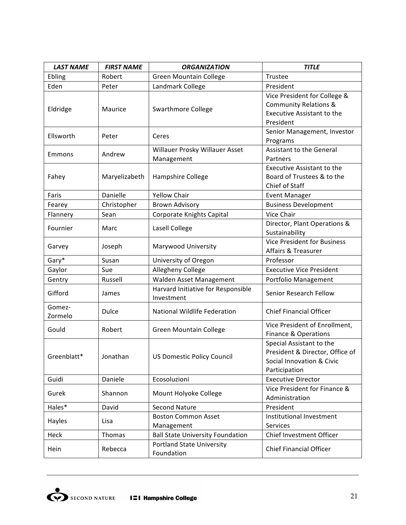| <b>LAST NAME</b>  | <b>FIRST NAME</b> | <b>ORGANIZATION</b>                              | <b>TITLE</b>                                                                                                |
|-------------------|-------------------|--------------------------------------------------|-------------------------------------------------------------------------------------------------------------|
| Ebling            | Robert            | <b>Green Mountain College</b>                    | Trustee                                                                                                     |
| Eden              | Peter             | Landmark College                                 | President                                                                                                   |
| Eldridge          | Maurice           | <b>Swarthmore College</b>                        | Vice President for College &<br><b>Community Relations &amp;</b><br>Executive Assistant to the<br>President |
| Ellsworth         | Peter             | Ceres                                            | Senior Management, Investor<br>Programs                                                                     |
| Emmons            | Andrew            | Willauer Prosky Willauer Asset<br>Management     | <b>Assistant to the General</b><br>Partners                                                                 |
| Fahey             | Maryelizabeth     | Hampshire College                                | Executive Assistant to the<br>Board of Trustees & to the<br>Chief of Staff                                  |
| Faris             | Danielle          | <b>Yellow Chair</b>                              | <b>Event Manager</b>                                                                                        |
| Fearey            | Christopher       | <b>Brown Advisory</b>                            | <b>Business Development</b>                                                                                 |
| Flannery          | Sean              | Corporate Knights Capital                        | Vice Chair                                                                                                  |
| Fournier          | Marc              | Lasell College                                   | Director, Plant Operations &<br>Sustainability                                                              |
| Garvey            | Joseph            | Marywood University                              | <b>Vice President for Business</b><br>Affairs & Treasurer                                                   |
| Gary*             | Susan             | University of Oregon                             | Professor                                                                                                   |
| Gaylor            | Sue               | Allegheny College                                | <b>Executive Vice President</b>                                                                             |
| Gentry            | Russell           | Walden Asset Management                          | Portfolio Management                                                                                        |
| Gifford           | James             | Harvard Initiative for Responsible<br>Investment | Senior Research Fellow                                                                                      |
| Gomez-<br>Zormelo | Dulce             | National Wildlife Federation                     | <b>Chief Financial Officer</b>                                                                              |
| Gould             | Robert            | Green Mountain College                           | Vice President of Enrollment,<br><b>Finance &amp; Operations</b>                                            |
| Greenblatt*       | Jonathan          | <b>US Domestic Policy Council</b>                | Special Assistant to the<br>President & Director, Office of<br>Social Innovation & Civic<br>Participation   |
| Guidi             | Daniele           | Ecosoluzioni                                     | <b>Executive Director</b>                                                                                   |
| Gurek             | Shannon           | Mount Holyoke College                            | Vice President for Finance &<br>Administration                                                              |
| Hales*            | David             | <b>Second Nature</b>                             | President                                                                                                   |
| Hayles            | Lisa              | <b>Boston Common Asset</b><br>Management         | Institutional Investment<br>Services                                                                        |
| Heck              | Thomas            | <b>Ball State University Foundation</b>          | Chief Investment Officer                                                                                    |
| Hein              | Rebecca           | <b>Portland State University</b><br>Foundation   | <b>Chief Financial Officer</b>                                                                              |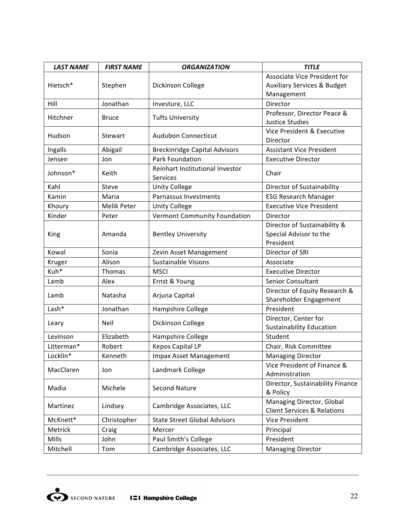| <b>LAST NAME</b> | <b>FIRST NAME</b> | <b>ORGANIZATION</b>                         | <b>TITLE</b>                                                        |
|------------------|-------------------|---------------------------------------------|---------------------------------------------------------------------|
| Hietsch*         | Stephen           | Dickinson College                           | Associate Vice President for                                        |
|                  |                   |                                             | <b>Auxiliary Services &amp; Budget</b>                              |
|                  |                   |                                             | Management                                                          |
| Hill             | Jonathan          | Investure, LLC                              | Director                                                            |
| Hitchner         | <b>Bruce</b>      | <b>Tufts University</b>                     | Professor, Director Peace &<br><b>Justice Studies</b>               |
| Hudson           | Stewart           | <b>Audubon Connecticut</b>                  | Vice President & Executive<br>Director                              |
| Ingalls          | Abigail           | <b>Breckinridge Capital Advisors</b>        | <b>Assistant Vice President</b>                                     |
| Jensen           | Jon               | <b>Park Foundation</b>                      | <b>Executive Director</b>                                           |
| Johnson*         | Keith             | Reinhart Institutional Investor<br>Services | Chair                                                               |
| Kahl             | Steve             | <b>Unity College</b>                        | Director of Sustainability                                          |
| Kamin            | Maria             | Parnassus Investments                       | <b>ESG Research Manager</b>                                         |
| Khoury           | Melik Peter       | <b>Unity College</b>                        | <b>Executive Vice President</b>                                     |
| Kinder           | Peter             | Vermont Community Foundation                | Director                                                            |
|                  |                   |                                             | Director of Sustainability &                                        |
| King             | Amanda            | <b>Bentley University</b>                   | Special Advisor to the                                              |
|                  |                   |                                             | President                                                           |
| Kowal            | Sonia             | Zevin Asset Management                      | Director of SRI                                                     |
| Kruger           | Alison            | <b>Sustainable Visions</b>                  | Associate                                                           |
| Kuh*             | Thomas            | <b>MSCI</b>                                 | <b>Executive Director</b>                                           |
| Lamb             | Alex              | Ernst & Young                               | Senior Consultant                                                   |
| Lamb             | Natasha           | Arjuna Capital                              | Director of Equity Research &                                       |
|                  |                   |                                             | Shareholder Engagement                                              |
| Lash*            | Jonathan          | Hampshire College                           | President                                                           |
| Leary            | Neil              | Dickinson College                           | Director, Center for                                                |
|                  |                   |                                             | <b>Sustainability Education</b>                                     |
| Levinson         | Elizabeth         | Hampshire College                           | Student                                                             |
| Litterman*       | Robert            | <b>Kepos Capital LP</b>                     | Chair, Risk Committee                                               |
| Locklin*         | Kenneth           | Impax Asset Management                      | <b>Managing Director</b>                                            |
| MacClaren        | Jon               | Landmark College                            | Vice President of Finance &<br>Administration                       |
| Madia            | Michele           | <b>Second Nature</b>                        | Director, Sustainability Finance<br>& Policy                        |
| Martinez         | Lindsey           | Cambridge Associates, LLC                   | Managing Director, Global<br><b>Client Services &amp; Relations</b> |
| McKnett*         | Christopher       | <b>State Street Global Advisors</b>         | Vice President                                                      |
| Metrick          | Craig             | Mercer                                      | Principal                                                           |
| Mills            | John              | Paul Smith's College                        | President                                                           |
| Mitchell         | Tom               | Cambridge Associates, LLC                   | <b>Managing Director</b>                                            |

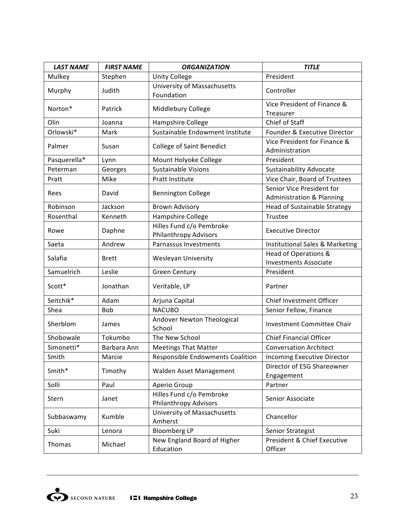| <b>LAST NAME</b> | <b>FIRST NAME</b> | <b>ORGANIZATION</b>                               | <b>TITLE</b>                                           |
|------------------|-------------------|---------------------------------------------------|--------------------------------------------------------|
| Mulkey           | Stephen           | <b>Unity College</b>                              | President                                              |
| Murphy           | Judith            | University of Massachusetts<br>Foundation         | Controller                                             |
| Norton*          | Patrick           | Middlebury College                                | Vice President of Finance &<br>Treasurer               |
| Olin             | Joanna            | Hampshire College                                 | Chief of Staff                                         |
| Orlowski*        | Mark              | Sustainable Endowment Institute                   | Founder & Executive Director                           |
| Palmer           | Susan             | <b>College of Saint Benedict</b>                  | Vice President for Finance &<br>Administration         |
| Pasquerella*     | Lynn              | Mount Holyoke College                             | President                                              |
| Peterman         | Georges           | <b>Sustainable Visions</b>                        | Sustainability Advocate                                |
| Pratt            | Mike              | Pratt Institute                                   | Vice Chair, Board of Trustees                          |
| Rees             | David             | <b>Bennington College</b>                         | Senior Vice President for<br>Administration & Planning |
| Robinson         | Jackson           | <b>Brown Advisory</b>                             | <b>Head of Sustainable Strategy</b>                    |
| Rosenthal        | Kenneth           | Hampshire College                                 | Trustee                                                |
| Rowe             | Daphne            | Hilles Fund c/o Pembroke<br>Philanthropy Advisors | <b>Executive Director</b>                              |
| Saeta            | Andrew            | Parnassus Investments                             | Institutional Sales & Marketing                        |
| Salafia          | <b>Brett</b>      | Wesleyan University                               | Head of Operations &<br><b>Investments Associate</b>   |
| Samuelrich       | Leslie            | <b>Green Century</b>                              | President                                              |
| Scott*           | Jonathan          | Veritable, LP                                     | Partner                                                |
| Seitchik*        | Adam              | Arjuna Capital                                    | Chief Investment Officer                               |
| Shea             | <b>Bob</b>        | <b>NACUBO</b>                                     | Senior Fellow, Finance                                 |
| Sherblom         | James             | Andover Newton Theological<br>School              | <b>Investment Committee Chair</b>                      |
| Shobowale        | Tokumbo           | The New School                                    | <b>Chief Financial Officer</b>                         |
| Simonetti*       | Barbara Ann       | <b>Meetings That Matter</b>                       | <b>Conversation Architect</b>                          |
| Smith            | Marcie            | <b>Responsible Endowments Coalition</b>           | Incoming Executive Director                            |
| Smith*           | Timothy           | Walden Asset Management                           | Director of ESG Shareowner<br>Engagement               |
| Solli            | Paul              | Aperio Group                                      | Partner                                                |
| Stern            | Janet             | Hilles Fund c/o Pembroke<br>Philanthropy Advisors | Senior Associate                                       |
| Subbaswamy       | Kumble            | University of Massachusetts<br>Amherst            | Chancellor                                             |
| Suki             | Lenora            | <b>Bloomberg LP</b>                               | Senior Strategist                                      |
| Thomas           | Michael           | New England Board of Higher<br>Education          | President & Chief Executive<br>Officer                 |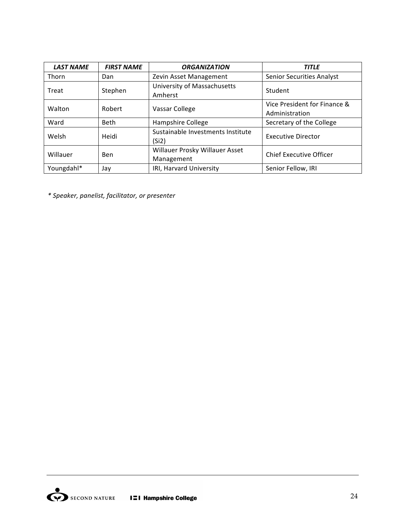| <b>LAST NAME</b> | <b>FIRST NAME</b> | <b>ORGANIZATION</b>                          | <b>TITLE</b>                                   |
|------------------|-------------------|----------------------------------------------|------------------------------------------------|
| Thorn            | Dan               | Zevin Asset Management                       | <b>Senior Securities Analyst</b>               |
| Treat            | Stephen           | University of Massachusetts<br>Amherst       | Student                                        |
| Walton           | Robert            | Vassar College                               | Vice President for Finance &<br>Administration |
| Ward             | <b>Beth</b>       | Hampshire College                            | Secretary of the College                       |
| Welsh            | Heidi             | Sustainable Investments Institute<br>(Si2)   | <b>Executive Director</b>                      |
| Willauer         | Ben               | Willauer Prosky Willauer Asset<br>Management | <b>Chief Executive Officer</b>                 |
| Youngdahl*       | Jay               | IRI, Harvard University                      | Senior Fellow, IRI                             |

*\*'Speaker,'panelist,'facilitator,'or'presenter*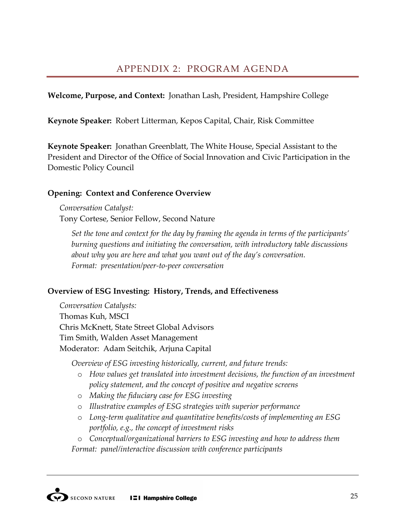Welcome, Purpose, and Context: Jonathan Lash, President, Hampshire College

Keynote Speaker: Robert Litterman, Kepos Capital, Chair, Risk Committee

**Keynote Speaker:** Jonathan Greenblatt, The White House, Special Assistant to the President and Director of the Office of Social Innovation and Civic Participation in the Domestic Policy Council

# **Opening: Context and Conference Overview**

*Conversation%Catalyst:* Tony Cortese, Senior Fellow, Second Nature

Set the tone and context for the day by framing the agenda in terms of the participants' burning questions and initiating the conversation, with introductory table discussions about why you are here and what you want out of the day's conversation. *Format: presentation/peer-to-peer conversation* 

# **Overview of ESG Investing: History, Trends, and Effectiveness**

*Conversation%Catalysts:* Thomas Kuh, MSCI Chris McKnett, State Street Global Advisors Tim Smith, Walden Asset Management Moderator: Adam Seitchik, Arjuna Capital

*Overview of ESG investing historically, current, and future trends:* 

- $\circ$  *How values get translated into investment decisions, the function of an investment policy%statement, and%the%concept%of%positive%and%negative%screens*
- o *Making%the%fiduciary%case%for%ESG%investing*
- o *Illustrative%examples%of%ESG%strategies%with%superior%performance*
- o Long-term qualitative and quantitative benefits/costs of implementing an ESG *portfolio, e.g., the concept of investment risks*

o *Conceptual/organizational%barriers%to%ESG%investing%and%how%to%address%them Format: panel/interactive discussion with conference participants*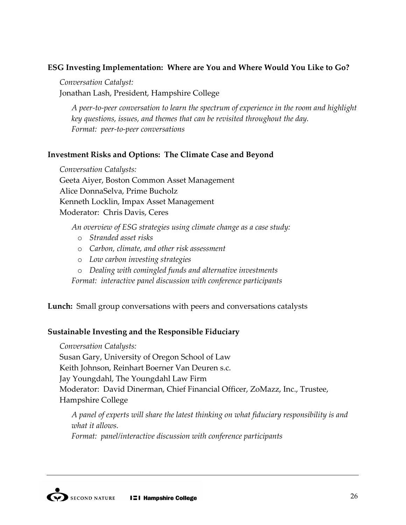# **ESG Investing Implementation: Where are You and Where Would You Like to Go?**

*Conversation%Catalyst:%*

Jonathan Lash, President, Hampshire College

*A peer-to-peer conversation to learn the spectrum of experience in the room and highlight key%questions,%issues,%and%themes%that%can%be revisited%throughout%the%day. Format: peer-to-peer conversations* 

## **Investment Risks and Options: The Climate Case and Beyond**

*Conversation Catalysts:* Geeta"Aiyer,"Boston"Common"Asset"Management Alice DonnaSelva, Prime Bucholz Kenneth Locklin, Impax Asset Management Moderator: Chris Davis, Ceres

An overview of ESG strategies using climate change as a case study:

- o *Stranded%asset%risks*
- o *Carbon,%climate,%and%other%risk%assessment*
- o *Low%carbon%investing%strategies*
- o *Dealing%with%comingled%funds%and%alternative%investments*

Format: *interactive panel discussion with conference participants* 

Lunch: Small group conversations with peers and conversations catalysts

# **Sustainable Investing and the Responsible Fiduciary**

*Conversation Catalysts:* 

Susan Gary, University of Oregon School of Law Keith Johnson, Reinhart Boerner Van Deuren s.c. Jay Youngdahl, The Youngdahl Law Firm Moderator: David Dinerman, Chief Financial Officer, ZoMazz, Inc., Trustee, Hampshire College

*A%panel%of%experts%will%share%the%latest%thinking%on%what%fiduciary%responsibility%is%and% what it allows.* 

*Format: panel/interactive discussion with conference participants*